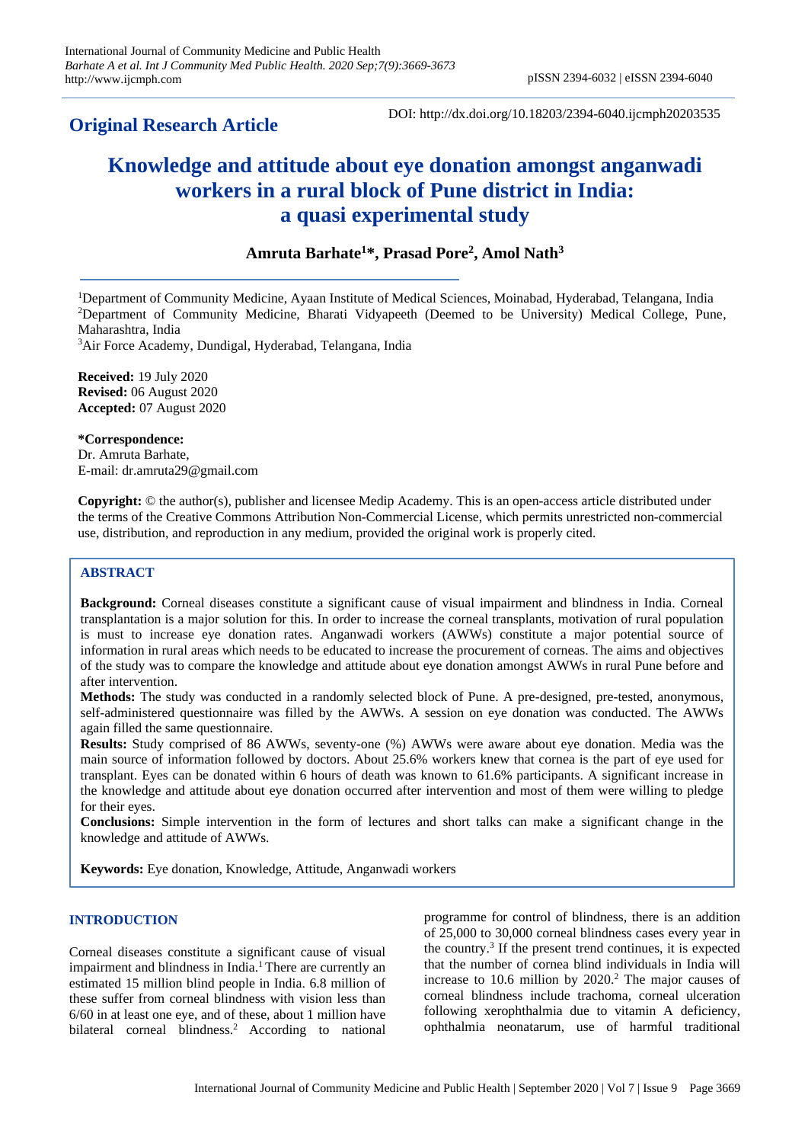# **Original Research Article**

DOI: http://dx.doi.org/10.18203/2394-6040.ijcmph20203535

# **Knowledge and attitude about eye donation amongst anganwadi workers in a rural block of Pune district in India: a quasi experimental study**

## **Amruta Barhate<sup>1</sup>\*, Prasad Pore<sup>2</sup> , Amol Nath<sup>3</sup>**

<sup>1</sup>Department of Community Medicine, Ayaan Institute of Medical Sciences, Moinabad, Hyderabad, Telangana, India <sup>2</sup>Department of Community Medicine, Bharati Vidyapeeth (Deemed to be University) Medical College, Pune, Maharashtra, India

<sup>3</sup>Air Force Academy, Dundigal, Hyderabad, Telangana, India

**Received:** 19 July 2020 **Revised:** 06 August 2020 **Accepted:** 07 August 2020

**\*Correspondence:** Dr. Amruta Barhate, E-mail: dr.amruta29@gmail.com

**Copyright:** © the author(s), publisher and licensee Medip Academy. This is an open-access article distributed under the terms of the Creative Commons Attribution Non-Commercial License, which permits unrestricted non-commercial use, distribution, and reproduction in any medium, provided the original work is properly cited.

### **ABSTRACT**

**Background:** Corneal diseases constitute a significant cause of visual impairment and blindness in India. Corneal transplantation is a major solution for this. In order to increase the corneal transplants, motivation of rural population is must to increase eye donation rates. Anganwadi workers (AWWs) constitute a major potential source of information in rural areas which needs to be educated to increase the procurement of corneas. The aims and objectives of the study was to compare the knowledge and attitude about eye donation amongst AWWs in rural Pune before and after intervention.

**Methods:** The study was conducted in a randomly selected block of Pune. A pre-designed, pre-tested, anonymous, self-administered questionnaire was filled by the AWWs. A session on eye donation was conducted. The AWWs again filled the same questionnaire.

**Results:** Study comprised of 86 AWWs, seventy-one (%) AWWs were aware about eye donation. Media was the main source of information followed by doctors. About 25.6% workers knew that cornea is the part of eye used for transplant. Eyes can be donated within 6 hours of death was known to 61.6% participants. A significant increase in the knowledge and attitude about eye donation occurred after intervention and most of them were willing to pledge for their eyes.

**Conclusions:** Simple intervention in the form of lectures and short talks can make a significant change in the knowledge and attitude of AWWs.

**Keywords:** Eye donation, Knowledge, Attitude, Anganwadi workers

#### **INTRODUCTION**

Corneal diseases constitute a significant cause of visual impairment and blindness in India.<sup>1</sup> There are currently an estimated 15 million blind people in India. 6.8 million of these suffer from corneal blindness with vision less than 6/60 in at least one eye, and of these, about 1 million have bilateral corneal blindness.<sup>2</sup> According to national

programme for control of blindness, there is an addition of 25,000 to 30,000 corneal blindness cases every year in the country.<sup>3</sup> If the present trend continues, it is expected that the number of cornea blind individuals in India will increase to  $10.6$  million by  $2020$ .<sup>2</sup> The major causes of corneal blindness include trachoma, corneal ulceration following xerophthalmia due to vitamin A deficiency, ophthalmia neonatarum, use of harmful traditional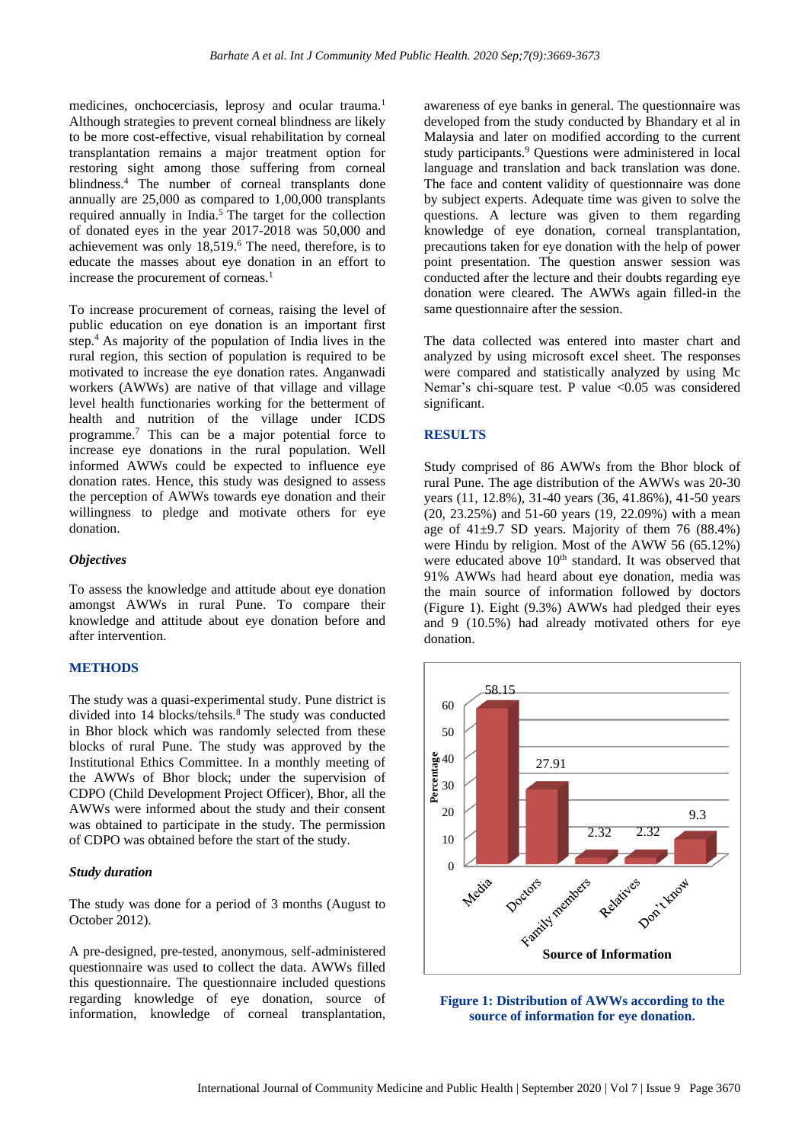medicines, onchocerciasis, leprosy and ocular trauma.<sup>1</sup> Although strategies to prevent corneal blindness are likely to be more cost-effective, visual rehabilitation by corneal transplantation remains a major treatment option for restoring sight among those suffering from corneal blindness.<sup>4</sup> The number of corneal transplants done annually are 25,000 as compared to 1,00,000 transplants required annually in India. $5$  The target for the collection of donated eyes in the year 2017-2018 was 50,000 and achievement was only 18,519.<sup>6</sup> The need, therefore, is to educate the masses about eye donation in an effort to increase the procurement of corneas. $<sup>1</sup>$ </sup>

To increase procurement of corneas, raising the level of public education on eye donation is an important first step.<sup>4</sup>As majority of the population of India lives in the rural region, this section of population is required to be motivated to increase the eye donation rates. Anganwadi workers (AWWs) are native of that village and village level health functionaries working for the betterment of health and nutrition of the village under ICDS programme.<sup>7</sup> This can be a major potential force to increase eye donations in the rural population. Well informed AWWs could be expected to influence eye donation rates. Hence, this study was designed to assess the perception of AWWs towards eye donation and their willingness to pledge and motivate others for eye donation.

#### *Objectives*

To assess the knowledge and attitude about eye donation amongst AWWs in rural Pune. To compare their knowledge and attitude about eye donation before and after intervention.

#### **METHODS**

The study was a quasi-experimental study. Pune district is divided into 14 blocks/tehsils.<sup>8</sup> The study was conducted in Bhor block which was randomly selected from these blocks of rural Pune. The study was approved by the Institutional Ethics Committee. In a monthly meeting of the AWWs of Bhor block; under the supervision of CDPO (Child Development Project Officer), Bhor, all the AWWs were informed about the study and their consent was obtained to participate in the study. The permission of CDPO was obtained before the start of the study.

#### *Study duration*

The study was done for a period of 3 months (August to October 2012).

A pre-designed, pre-tested, anonymous, self-administered questionnaire was used to collect the data. AWWs filled this questionnaire. The questionnaire included questions regarding knowledge of eye donation, source of information, knowledge of corneal transplantation,

awareness of eye banks in general. The questionnaire was developed from the study conducted by Bhandary et al in Malaysia and later on modified according to the current study participants.<sup>9</sup> Questions were administered in local language and translation and back translation was done. The face and content validity of questionnaire was done by subject experts. Adequate time was given to solve the questions. A lecture was given to them regarding knowledge of eye donation, corneal transplantation, precautions taken for eye donation with the help of power point presentation. The question answer session was conducted after the lecture and their doubts regarding eye donation were cleared. The AWWs again filled-in the same questionnaire after the session.

The data collected was entered into master chart and analyzed by using microsoft excel sheet. The responses were compared and statistically analyzed by using Mc Nemar's chi-square test. P value <0.05 was considered significant.

#### **RESULTS**

Study comprised of 86 AWWs from the Bhor block of rural Pune. The age distribution of the AWWs was 20-30 years (11, 12.8%), 31-40 years (36, 41.86%), 41-50 years (20, 23.25%) and 51-60 years (19, 22.09%) with a mean age of  $41\pm9.7$  SD years. Majority of them 76 (88.4%) were Hindu by religion. Most of the AWW 56 (65.12%) were educated above  $10<sup>th</sup>$  standard. It was observed that 91% AWWs had heard about eye donation, media was the main source of information followed by doctors (Figure 1). Eight (9.3%) AWWs had pledged their eyes and 9 (10.5%) had already motivated others for eye donation.



**Figure 1: Distribution of AWWs according to the source of information for eye donation.**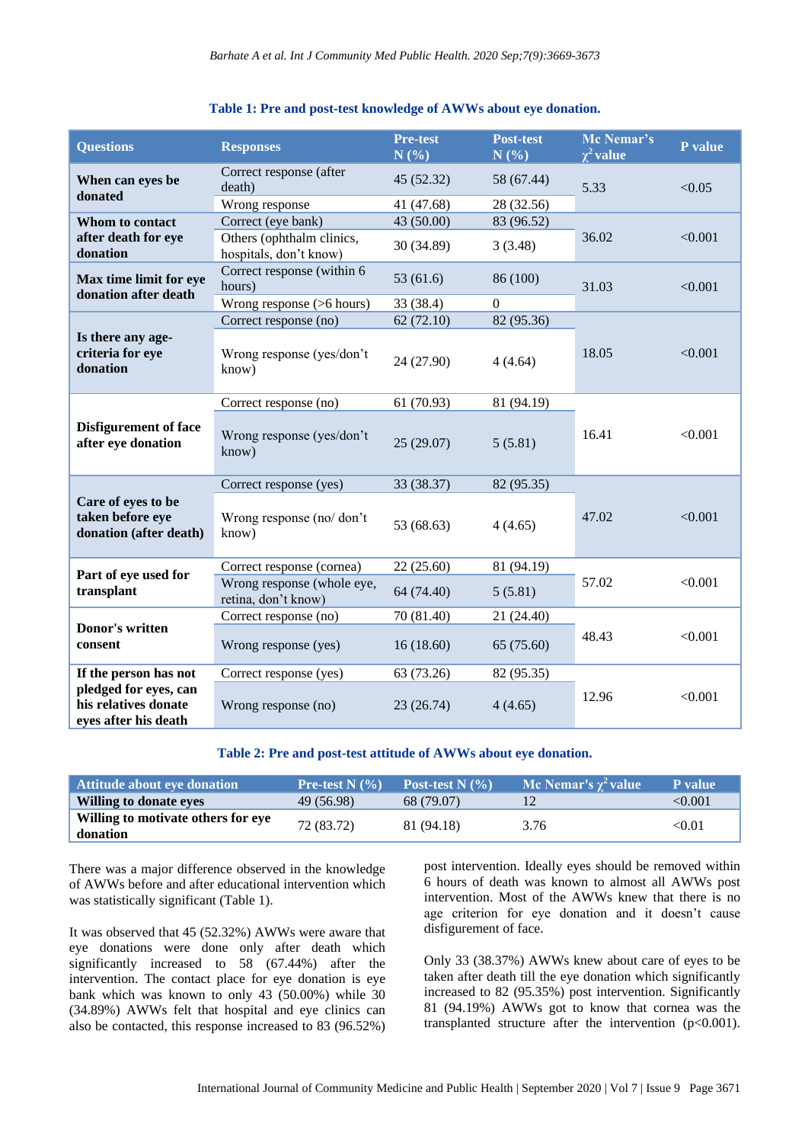| <b>Questions</b>                                                                               | <b>Responses</b>                                    | <b>Pre-test</b><br>N(%) | <b>Post-test</b><br>N(%) | Mc Nemar's<br>$\chi^2$ value | P value |
|------------------------------------------------------------------------------------------------|-----------------------------------------------------|-------------------------|--------------------------|------------------------------|---------|
| When can eyes be<br>donated                                                                    | Correct response (after<br>death)                   | 45 (52.32)              | 58 (67.44)               | 5.33                         | < 0.05  |
|                                                                                                | Wrong response                                      | 41 (47.68)              | 28 (32.56)               |                              |         |
| Whom to contact<br>after death for eye<br>donation                                             | Correct (eye bank)                                  | 43 (50.00)              | 83 (96.52)               |                              | < 0.001 |
|                                                                                                | Others (ophthalm clinics,<br>hospitals, don't know) | 30 (34.89)              | 3(3.48)                  | 36.02                        |         |
| Max time limit for eye<br>donation after death                                                 | Correct response (within 6<br>hours)                | 53(61.6)                | 86 (100)                 | 31.03                        | < 0.001 |
|                                                                                                | Wrong response (>6 hours)                           | 33 (38.4)               | $\mathbf{0}$             |                              |         |
|                                                                                                | Correct response (no)                               | 62(72.10)               | 82 (95.36)               | 18.05                        | < 0.001 |
| Is there any age-<br>criteria for eye<br>donation                                              | Wrong response (yes/don't<br>know)                  | 24 (27.90)              | 4(4.64)                  |                              |         |
| <b>Disfigurement of face</b><br>after eye donation                                             | Correct response (no)                               | 61 (70.93)              | 81 (94.19)               | 16.41                        | < 0.001 |
|                                                                                                | Wrong response (yes/don't<br>know)                  | 25(29.07)               | 5(5.81)                  |                              |         |
|                                                                                                | Correct response (yes)                              | 33 (38.37)              | 82 (95.35)               | 47.02                        | < 0.001 |
| Care of eyes to be<br>taken before eye<br>donation (after death)                               | Wrong response (no/don't<br>know)                   | 53 (68.63)              | 4(4.65)                  |                              |         |
| Part of eye used for<br>transplant                                                             | Correct response (cornea)                           | 22(25.60)               | 81 (94.19)               | 57.02                        | < 0.001 |
|                                                                                                | Wrong response (whole eye,<br>retina, don't know)   | 64 (74.40)              | 5(5.81)                  |                              |         |
| Donor's written<br>consent                                                                     | Correct response (no)                               | 70 (81.40)              | 21 (24.40)               |                              | < 0.001 |
|                                                                                                | Wrong response (yes)                                | 16(18.60)               | 65 (75.60)               | 48.43                        |         |
| If the person has not<br>pledged for eyes, can<br>his relatives donate<br>eyes after his death | Correct response (yes)                              | 63 (73.26)              | 82 (95.35)               | 12.96                        | < 0.001 |
|                                                                                                | Wrong response (no)                                 | 23 (26.74)              | 4(4.65)                  |                              |         |

#### **Table 1: Pre and post-test knowledge of AWWs about eye donation.**

**Table 2: Pre and post-test attitude of AWWs about eye donation.**

| <b>Attitude about eve donation</b>             | <b>Pre-test N</b> $(\%)$ | Post-test N $(% )$ | Mc Nemar's $\chi^2$ value | <b>P</b> value |
|------------------------------------------------|--------------------------|--------------------|---------------------------|----------------|
| Willing to donate eves                         | 49 (56.98)               | 68 (79.07)         |                           | < 0.001        |
| Willing to motivate others for eve<br>donation | 72 (83.72)               | 81 (94.18)         | 3.76                      | < 0.01         |

There was a major difference observed in the knowledge of AWWs before and after educational intervention which was statistically significant (Table 1).

It was observed that 45 (52.32%) AWWs were aware that eye donations were done only after death which significantly increased to 58 (67.44%) after the intervention. The contact place for eye donation is eye bank which was known to only 43 (50.00%) while 30 (34.89%) AWWs felt that hospital and eye clinics can also be contacted, this response increased to 83 (96.52%)

post intervention. Ideally eyes should be removed within 6 hours of death was known to almost all AWWs post intervention. Most of the AWWs knew that there is no age criterion for eye donation and it doesn't cause disfigurement of face.

Only 33 (38.37%) AWWs knew about care of eyes to be taken after death till the eye donation which significantly increased to 82 (95.35%) post intervention. Significantly 81 (94.19%) AWWs got to know that cornea was the transplanted structure after the intervention (p<0.001).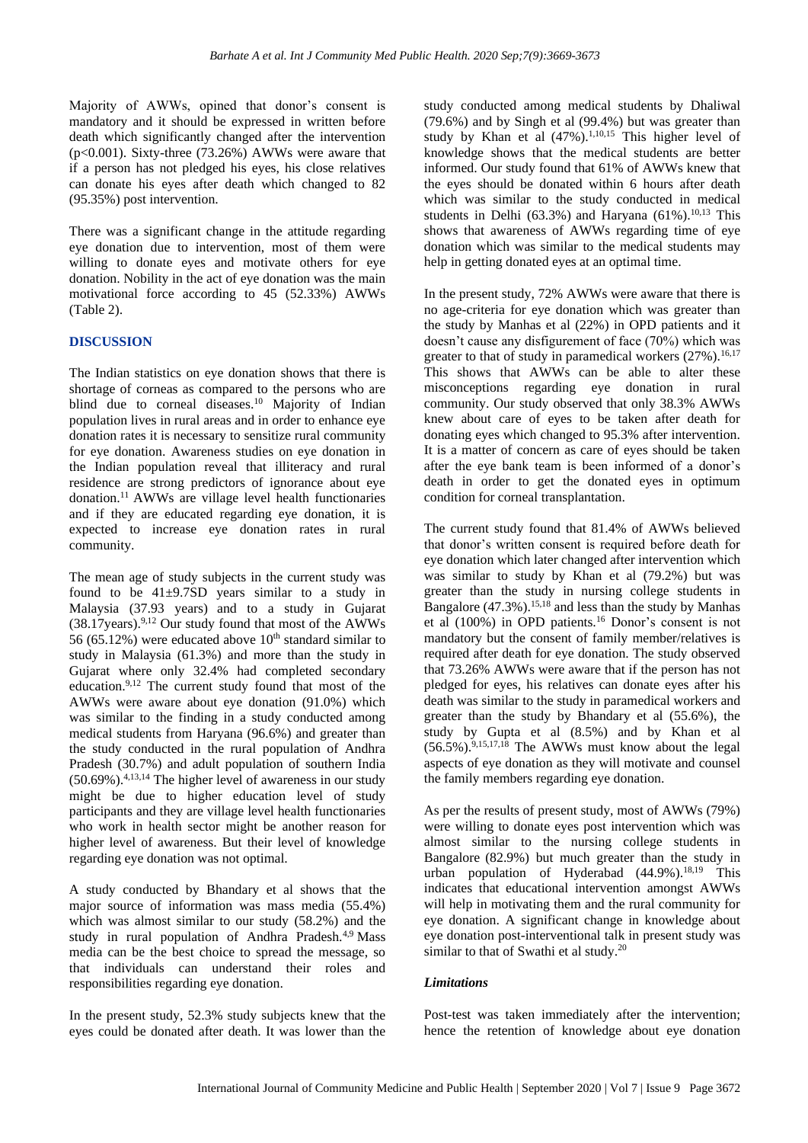Majority of AWWs, opined that donor's consent is mandatory and it should be expressed in written before death which significantly changed after the intervention (p<0.001). Sixty-three (73.26%) AWWs were aware that if a person has not pledged his eyes, his close relatives can donate his eyes after death which changed to 82 (95.35%) post intervention.

There was a significant change in the attitude regarding eye donation due to intervention, most of them were willing to donate eyes and motivate others for eye donation. Nobility in the act of eye donation was the main motivational force according to 45 (52.33%) AWWs (Table 2).

#### **DISCUSSION**

The Indian statistics on eye donation shows that there is shortage of corneas as compared to the persons who are blind due to corneal diseases.<sup>10</sup> Majority of Indian population lives in rural areas and in order to enhance eye donation rates it is necessary to sensitize rural community for eye donation. Awareness studies on eye donation in the Indian population reveal that illiteracy and rural residence are strong predictors of ignorance about eye donation.<sup>11</sup>AWWs are village level health functionaries and if they are educated regarding eye donation, it is expected to increase eye donation rates in rural community.

The mean age of study subjects in the current study was found to be  $41\pm9.7SD$  years similar to a study in Malaysia (37.93 years) and to a study in Gujarat  $(38.17)$ years).<sup>9,12</sup> Our study found that most of the AWWs 56 (65.12%) were educated above  $10<sup>th</sup>$  standard similar to study in Malaysia (61.3%) and more than the study in Gujarat where only 32.4% had completed secondary education.9,12 The current study found that most of the AWWs were aware about eye donation (91.0%) which was similar to the finding in a study conducted among medical students from Haryana (96.6%) and greater than the study conducted in the rural population of Andhra Pradesh (30.7%) and adult population of southern India  $(50.69\%)$ <sup>4,13,14</sup> The higher level of awareness in our study might be due to higher education level of study participants and they are village level health functionaries who work in health sector might be another reason for higher level of awareness. But their level of knowledge regarding eye donation was not optimal.

A study conducted by Bhandary et al shows that the major source of information was mass media (55.4%) which was almost similar to our study (58.2%) and the study in rural population of Andhra Pradesh.<sup>4,9</sup> Mass media can be the best choice to spread the message, so that individuals can understand their roles and responsibilities regarding eye donation.

In the present study, 52.3% study subjects knew that the eyes could be donated after death. It was lower than the

study conducted among medical students by Dhaliwal (79.6%) and by Singh et al (99.4%) but was greater than study by Khan et al  $(47%)$ .<sup>1,10,15</sup> This higher level of knowledge shows that the medical students are better informed. Our study found that 61% of AWWs knew that the eyes should be donated within 6 hours after death which was similar to the study conducted in medical students in Delhi (63.3%) and Haryana (61%).<sup>10,13</sup> This shows that awareness of AWWs regarding time of eye donation which was similar to the medical students may help in getting donated eyes at an optimal time.

In the present study, 72% AWWs were aware that there is no age-criteria for eye donation which was greater than the study by Manhas et al (22%) in OPD patients and it doesn't cause any disfigurement of face (70%) which was greater to that of study in paramedical workers  $(27%)$ .<sup>16,17</sup> This shows that AWWs can be able to alter these misconceptions regarding eye donation in rural community. Our study observed that only 38.3% AWWs knew about care of eyes to be taken after death for donating eyes which changed to 95.3% after intervention. It is a matter of concern as care of eyes should be taken after the eye bank team is been informed of a donor's death in order to get the donated eyes in optimum condition for corneal transplantation.

The current study found that 81.4% of AWWs believed that donor's written consent is required before death for eye donation which later changed after intervention which was similar to study by Khan et al (79.2%) but was greater than the study in nursing college students in Bangalore  $(47.3\%)$ <sup>15,18</sup> and less than the study by Manhas et al (100%) in OPD patients.<sup>16</sup> Donor's consent is not mandatory but the consent of family member/relatives is required after death for eye donation. The study observed that 73.26% AWWs were aware that if the person has not pledged for eyes, his relatives can donate eyes after his death was similar to the study in paramedical workers and greater than the study by Bhandary et al (55.6%), the study by Gupta et al (8.5%) and by Khan et al  $(56.5\%)$ .<sup>9,15,17,18</sup> The AWWs must know about the legal aspects of eye donation as they will motivate and counsel the family members regarding eye donation.

As per the results of present study, most of AWWs (79%) were willing to donate eyes post intervention which was almost similar to the nursing college students in Bangalore (82.9%) but much greater than the study in urban population of Hyderabad  $(44.9\%)$ .<sup>18,19</sup> This indicates that educational intervention amongst AWWs will help in motivating them and the rural community for eye donation. A significant change in knowledge about eye donation post-interventional talk in present study was similar to that of Swathi et al study.<sup>20</sup>

#### *Limitations*

Post-test was taken immediately after the intervention; hence the retention of knowledge about eye donation